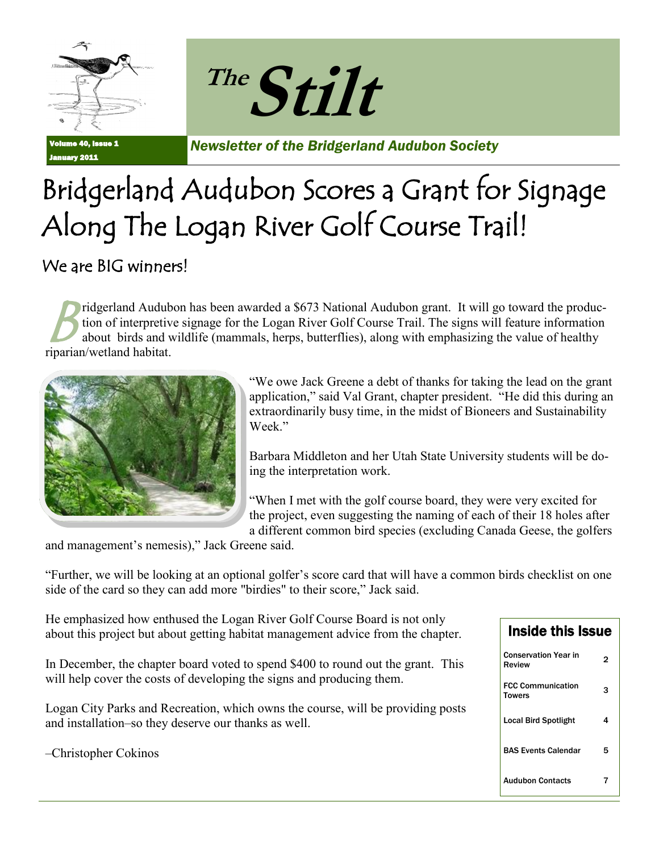



Volume 40, Issue 1 January 2011

*Newsletter of the Bridgerland Audubon Society*

# Bridgerland Audubon Scores a Grant for Signage Along The Logan River Golf Course Trail!

#### We are **BIG** winners!

 $B^{\scriptscriptstyle \textrm{ti}}_{\scriptscriptstyle \textrm{al}}$ ridgerland Audubon has been awarded a \$673 National Audubon grant. It will go toward the production of interpretive signage for the Logan River Golf Course Trail. The signs will feature information about birds and wildlife (mammals, herps, butterflies), along with emphasizing the value of healthy riparian/wetland habitat.



"We owe Jack Greene a debt of thanks for taking the lead on the grant application," said Val Grant, chapter president. "He did this during an extraordinarily busy time, in the midst of Bioneers and Sustainability Week."

Barbara Middleton and her Utah State University students will be doing the interpretation work.

"When I met with the golf course board, they were very excited for the project, even suggesting the naming of each of their 18 holes after a different common bird species (excluding Canada Geese, the golfers

and management's nemesis)," Jack Greene said.

"Further, we will be looking at an optional golfer's score card that will have a common birds checklist on one side of the card so they can add more "birdies" to their score," Jack said.

He emphasized how enthused the Logan River Golf Course Board is not only about this project but about getting habitat management advice from the chapter.

In December, the chapter board voted to spend \$400 to round out the grant. This will help cover the costs of developing the signs and producing them.

Logan City Parks and Recreation, which owns the course, will be providing posts and installation–so they deserve our thanks as well.

–Christopher Cokinos

 $\overline{a}$ 

| <b>Inside this Issue</b>                  |   |
|-------------------------------------------|---|
| <b>Conservation Year in</b><br>Review     | 2 |
| <b>FCC Communication</b><br><b>Towers</b> | З |
| <b>Local Bird Spotlight</b>               | 4 |
| <b>BAS Events Calendar</b>                | 5 |
| Audubon Contacts                          |   |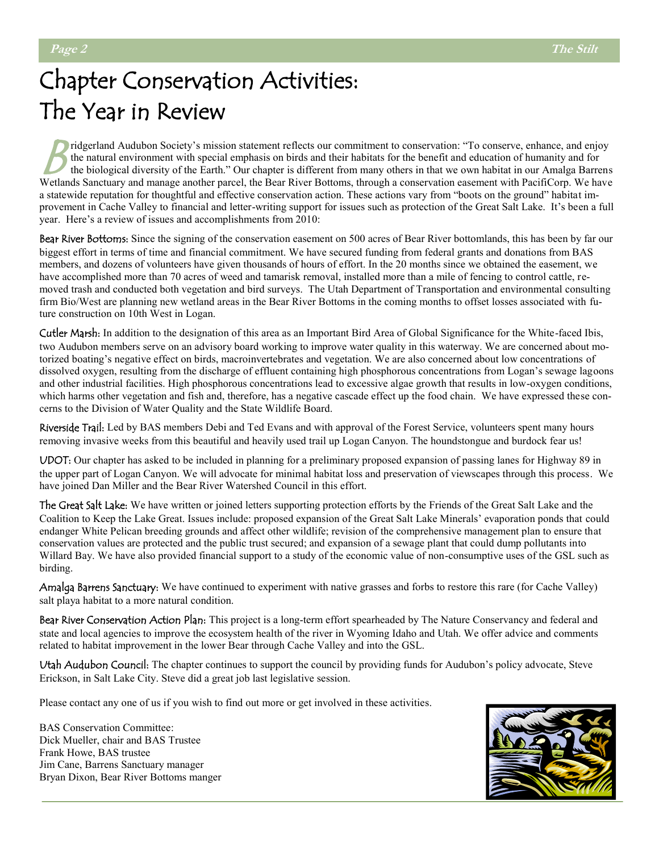# Chapter Conservation Activities: The Year in Review

ridgerland Audubon Society's mission statement reflects our commitment to conservation: "To conserve, enhance, and enjoy<br>the natural environment with special emphasis on birds and their habitats for the benefit and educati the natural environment with special emphasis on birds and their habitats for the benefit and education of humanity and for the biological diversity of the Earth." Our chapter is different from many others in that we own habitat in our Amalga Barrens Wetlands Sanctuary and manage another parcel, the Bear River Bottoms, through a conservation easement with PacifiCorp. We have a statewide reputation for thoughtful and effective conservation action. These actions vary from "boots on the ground" habitat improvement in Cache Valley to financial and letter-writing support for issues such as protection of the Great Salt Lake. It's been a full year. Here's a review of issues and accomplishments from 2010:

Bear River Bottoms: Since the signing of the conservation easement on 500 acres of Bear River bottomlands, this has been by far our biggest effort in terms of time and financial commitment. We have secured funding from federal grants and donations from BAS members, and dozens of volunteers have given thousands of hours of effort. In the 20 months since we obtained the easement, we have accomplished more than 70 acres of weed and tamarisk removal, installed more than a mile of fencing to control cattle, removed trash and conducted both vegetation and bird surveys. The Utah Department of Transportation and environmental consulting firm Bio/West are planning new wetland areas in the Bear River Bottoms in the coming months to offset losses associated with future construction on 10th West in Logan.

Cutler Marsh: In addition to the designation of this area as an Important Bird Area of Global Significance for the White-faced Ibis, two Audubon members serve on an advisory board working to improve water quality in this waterway. We are concerned about motorized boating's negative effect on birds, macroinvertebrates and vegetation. We are also concerned about low concentrations of dissolved oxygen, resulting from the discharge of effluent containing high phosphorous concentrations from Logan's sewage lagoons and other industrial facilities. High phosphorous concentrations lead to excessive algae growth that results in low-oxygen conditions, which harms other vegetation and fish and, therefore, has a negative cascade effect up the food chain. We have expressed these concerns to the Division of Water Quality and the State Wildlife Board.

Riverside Trail: Led by BAS members Debi and Ted Evans and with approval of the Forest Service, volunteers spent many hours removing invasive weeks from this beautiful and heavily used trail up Logan Canyon. The houndstongue and burdock fear us!

UDOT: Our chapter has asked to be included in planning for a preliminary proposed expansion of passing lanes for Highway 89 in the upper part of Logan Canyon. We will advocate for minimal habitat loss and preservation of viewscapes through this process. We have joined Dan Miller and the Bear River Watershed Council in this effort.

The Great Salt Lake: We have written or joined letters supporting protection efforts by the Friends of the Great Salt Lake and the Coalition to Keep the Lake Great. Issues include: proposed expansion of the Great Salt Lake Minerals' evaporation ponds that could endanger White Pelican breeding grounds and affect other wildlife; revision of the comprehensive management plan to ensure that conservation values are protected and the public trust secured; and expansion of a sewage plant that could dump pollutants into Willard Bay. We have also provided financial support to a study of the economic value of non-consumptive uses of the GSL such as birding.

Amalga Barrens Sanctuary: We have continued to experiment with native grasses and forbs to restore this rare (for Cache Valley) salt playa habitat to a more natural condition.

Bear River Conservation Action Plan: This project is a long-term effort spearheaded by The Nature Conservancy and federal and state and local agencies to improve the ecosystem health of the river in Wyoming Idaho and Utah. We offer advice and comments related to habitat improvement in the lower Bear through Cache Valley and into the GSL.

Utah Audubon Council: The chapter continues to support the council by providing funds for Audubon's policy advocate, Steve Erickson, in Salt Lake City. Steve did a great job last legislative session.

Please contact any one of us if you wish to find out more or get involved in these activities.

BAS Conservation Committee: Dick Mueller, chair and BAS Trustee Frank Howe, BAS trustee Jim Cane, Barrens Sanctuary manager Bryan Dixon, Bear River Bottoms manger

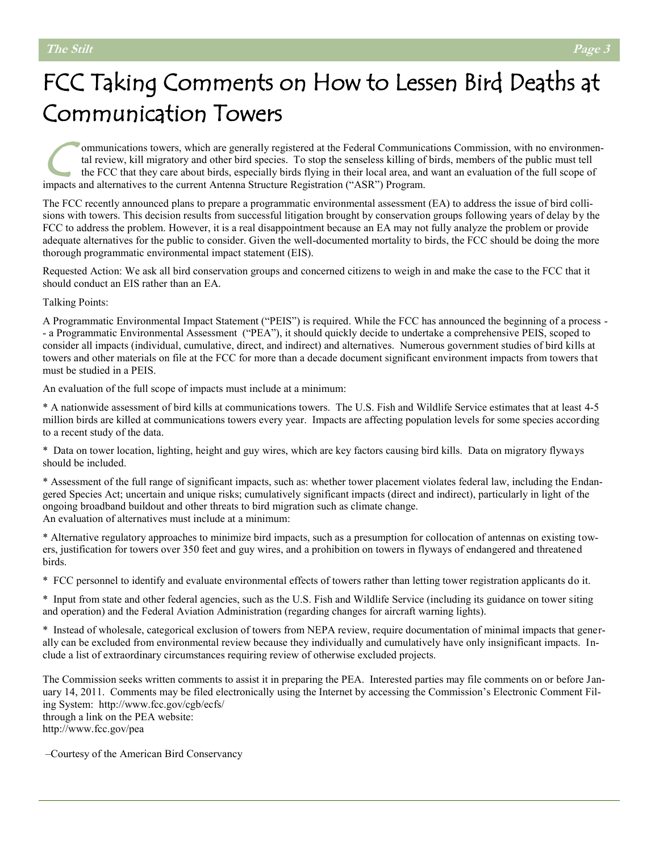# FCC Taking Comments on How to Lessen Bird Deaths at Communication Towers

C ommunications towers, which are generally registered at the Federal Communications Commission, with no environmental review, kill migratory and other bird species. To stop the senseless killing of birds, members of the public must tell the FCC that they care about birds, especially birds flying in their local area, and want an evaluation of the full scope of impacts and alternatives to the current Antenna Structure Registration ("ASR") Program.

The FCC recently announced plans to prepare a programmatic environmental assessment (EA) to address the issue of bird collisions with towers. This decision results from successful litigation brought by conservation groups following years of delay by the FCC to address the problem. However, it is a real disappointment because an EA may not fully analyze the problem or provide adequate alternatives for the public to consider. Given the well-documented mortality to birds, the FCC should be doing the more thorough programmatic environmental impact statement (EIS).

Requested Action: We ask all bird conservation groups and concerned citizens to weigh in and make the case to the FCC that it should conduct an EIS rather than an EA.

Talking Points:

A Programmatic Environmental Impact Statement ("PEIS") is required. While the FCC has announced the beginning of a process - - a Programmatic Environmental Assessment ("PEA"), it should quickly decide to undertake a comprehensive PEIS, scoped to consider all impacts (individual, cumulative, direct, and indirect) and alternatives. Numerous government studies of bird kills at towers and other materials on file at the FCC for more than a decade document significant environment impacts from towers that must be studied in a PEIS.

An evaluation of the full scope of impacts must include at a minimum:

\* A nationwide assessment of bird kills at communications towers. The U.S. Fish and Wildlife Service estimates that at least 4-5 million birds are killed at communications towers every year. Impacts are affecting population levels for some species according to a recent study of the data.

\* Data on tower location, lighting, height and guy wires, which are key factors causing bird kills. Data on migratory flyways should be included.

\* Assessment of the full range of significant impacts, such as: whether tower placement violates federal law, including the Endangered Species Act; uncertain and unique risks; cumulatively significant impacts (direct and indirect), particularly in light of the ongoing broadband buildout and other threats to bird migration such as climate change. An evaluation of alternatives must include at a minimum:

\* Alternative regulatory approaches to minimize bird impacts, such as a presumption for collocation of antennas on existing towers, justification for towers over 350 feet and guy wires, and a prohibition on towers in flyways of endangered and threatened birds.

\* FCC personnel to identify and evaluate environmental effects of towers rather than letting tower registration applicants do it.

\* Input from state and other federal agencies, such as the U.S. Fish and Wildlife Service (including its guidance on tower siting and operation) and the Federal Aviation Administration (regarding changes for aircraft warning lights).

\* Instead of wholesale, categorical exclusion of towers from NEPA review, require documentation of minimal impacts that generally can be excluded from environmental review because they individually and cumulatively have only insignificant impacts. Include a list of extraordinary circumstances requiring review of otherwise excluded projects.

The Commission seeks written comments to assist it in preparing the PEA. Interested parties may file comments on or before January 14, 2011. Comments may be filed electronically using the Internet by accessing the Commission's Electronic Comment Filing System: http://www.fcc.gov/cgb/ecfs/ through a link on the PEA website: http://www.fcc.gov/pea

–Courtesy of the American Bird Conservancy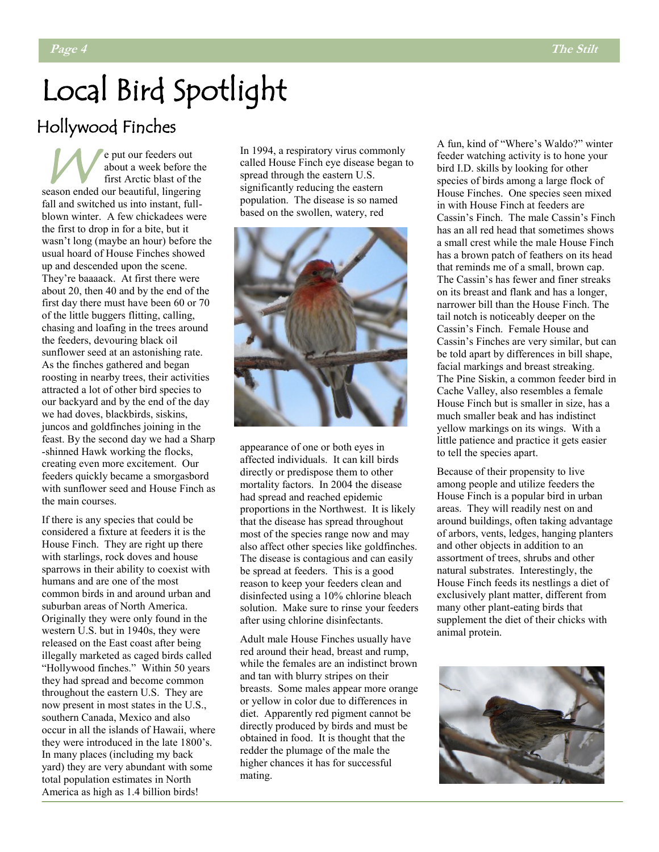# Local Bird Spotlight

#### Hollywood Finches

W e put our feeders out about a week before the first Arctic blast of the season ended our beautiful, lingering fall and switched us into instant, fullblown winter. A few chickadees were the first to drop in for a bite, but it wasn't long (maybe an hour) before the usual hoard of House Finches showed up and descended upon the scene. They're baaaack. At first there were about 20, then 40 and by the end of the first day there must have been 60 or 70 of the little buggers flitting, calling, chasing and loafing in the trees around the feeders, devouring black oil sunflower seed at an astonishing rate. As the finches gathered and began roosting in nearby trees, their activities attracted a lot of other bird species to our backyard and by the end of the day we had doves, blackbirds, siskins, juncos and goldfinches joining in the feast. By the second day we had a Sharp -shinned Hawk working the flocks, creating even more excitement. Our feeders quickly became a smorgasbord with sunflower seed and House Finch as the main courses.

If there is any species that could be considered a fixture at feeders it is the House Finch. They are right up there with starlings, rock doves and house sparrows in their ability to coexist with humans and are one of the most common birds in and around urban and suburban areas of North America. Originally they were only found in the western U.S. but in 1940s, they were released on the East coast after being illegally marketed as caged birds called "Hollywood finches." Within 50 years they had spread and become common throughout the eastern U.S. They are now present in most states in the U.S., southern Canada, Mexico and also occur in all the islands of Hawaii, where they were introduced in the late 1800's. In many places (including my back yard) they are very abundant with some total population estimates in North America as high as 1.4 billion birds!

In 1994, a respiratory virus commonly called House Finch eye disease began to spread through the eastern U.S. significantly reducing the eastern population. The disease is so named based on the swollen, watery, red



appearance of one or both eyes in affected individuals. It can kill birds directly or predispose them to other mortality factors. In 2004 the disease had spread and reached epidemic proportions in the Northwest. It is likely that the disease has spread throughout most of the species range now and may also affect other species like goldfinches. The disease is contagious and can easily be spread at feeders. This is a good reason to keep your feeders clean and disinfected using a 10% chlorine bleach solution. Make sure to rinse your feeders after using chlorine disinfectants.

Adult male House Finches usually have red around their head, breast and rump, while the females are an indistinct brown and tan with blurry stripes on their breasts. Some males appear more orange or yellow in color due to differences in diet. Apparently red pigment cannot be directly produced by birds and must be obtained in food. It is thought that the redder the plumage of the male the higher chances it has for successful mating.

A fun, kind of "Where's Waldo?" winter feeder watching activity is to hone your bird I.D. skills by looking for other species of birds among a large flock of House Finches. One species seen mixed in with House Finch at feeders are Cassin's Finch. The male Cassin's Finch has an all red head that sometimes shows a small crest while the male House Finch has a brown patch of feathers on its head that reminds me of a small, brown cap. The Cassin's has fewer and finer streaks on its breast and flank and has a longer, narrower bill than the House Finch. The tail notch is noticeably deeper on the Cassin's Finch. Female House and Cassin's Finches are very similar, but can be told apart by differences in bill shape, facial markings and breast streaking. The Pine Siskin, a common feeder bird in Cache Valley, also resembles a female House Finch but is smaller in size, has a much smaller beak and has indistinct yellow markings on its wings. With a little patience and practice it gets easier to tell the species apart.

Because of their propensity to live among people and utilize feeders the House Finch is a popular bird in urban areas. They will readily nest on and around buildings, often taking advantage of arbors, vents, ledges, hanging planters and other objects in addition to an assortment of trees, shrubs and other natural substrates. Interestingly, the House Finch feeds its nestlings a diet of exclusively plant matter, different from many other plant-eating birds that supplement the diet of their chicks with animal protein.

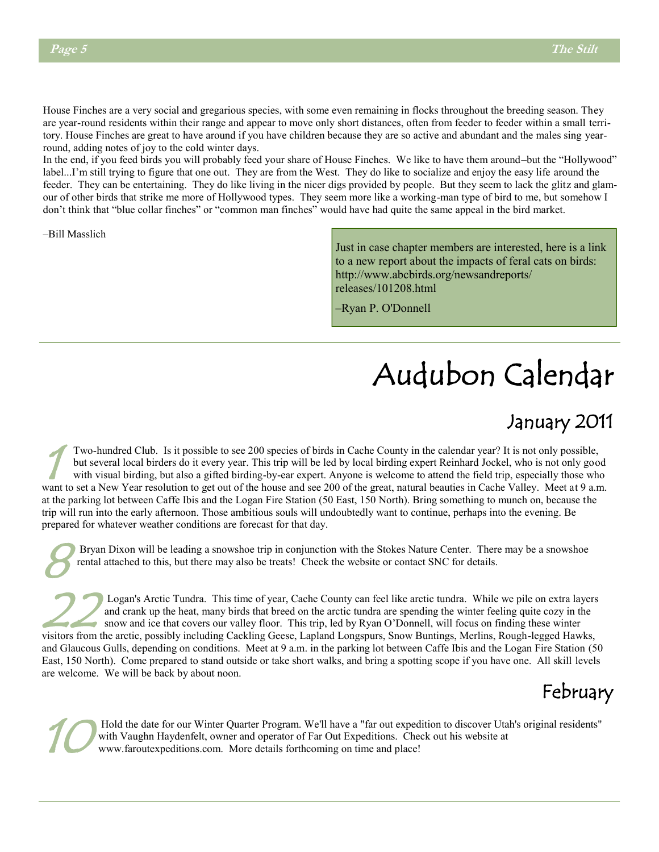House Finches are a very social and gregarious species, with some even remaining in flocks throughout the breeding season. They are year-round residents within their range and appear to move only short distances, often from feeder to feeder within a small territory. House Finches are great to have around if you have children because they are so active and abundant and the males sing yearround, adding notes of joy to the cold winter days.

In the end, if you feed birds you will probably feed your share of House Finches. We like to have them around–but the "Hollywood" label...I'm still trying to figure that one out. They are from the West. They do like to socialize and enjoy the easy life around the feeder. They can be entertaining. They do like living in the nicer digs provided by people. But they seem to lack the glitz and glamour of other birds that strike me more of Hollywood types. They seem more like a working-man type of bird to me, but somehow I don't think that "blue collar finches" or "common man finches" would have had quite the same appeal in the bird market.

–Bill Masslich

Just in case chapter members are interested, here is a link to a new report about the impacts of feral cats on birds: http://www.abcbirds.org/newsandreports/ releases/101208.html

‒Ryan P. O'Donnell

# Audubon Calendar

### January 2011

1 Two-hundred Club. Is it possible to see 200 species of birds in Cache County in the calendar year? It is not only possible, but several local birders do it every year. This trip will be led by local birding expert Reinhard Jockel, who is not only good with visual birding, but also a gifted birding-by-ear expert. Anyone is welcome to attend the field trip, especially those who want to set a New Year resolution to get out of the house and see 200 of the great, natural beauties in Cache Valley. Meet at 9 a.m. at the parking lot between Caffe Ibis and the Logan Fire Station (50 East, 150 North). Bring something to munch on, because the trip will run into the early afternoon. Those ambitious souls will undoubtedly want to continue, perhaps into the evening. Be prepared for whatever weather conditions are forecast for that day.

 $\mathcal{S}^{\scriptscriptstyle{\mathrm{I}}}$ Bryan Dixon will be leading a snowshoe trip in conjunction with the Stokes Nature Center. There may be a snowshoe rental attached to this, but there may also be treats! Check the website or contact SNC for details.

 $22^{\frac{1}{2}}$ Logan's Arctic Tundra. This time of year, Cache County can feel like arctic tundra. While we pile on extra layers and crank up the heat, many birds that breed on the arctic tundra are spending the winter feeling quite cozy in the snow and ice that covers our valley floor. This trip, led by Ryan O'Donnell, will focus on finding these winter visitors from the arctic, possibly including Cackling Geese, Lapland Longspurs, Snow Buntings, Merlins, Rough-legged Hawks, and Glaucous Gulls, depending on conditions. Meet at 9 a.m. in the parking lot between Caffe Ibis and the Logan Fire Station (50 East, 150 North). Come prepared to stand outside or take short walks, and bring a spotting scope if you have one. All skill levels are welcome. We will be back by about noon.



10 Hold the date for our Winter Quarter Program. We'll have a "far out expedition to discover Utah's original residents" with Vaughn Haydenfelt, owner and operator of Far Out Expeditions. Check out his website at www.faroutexpeditions.com. More details forthcoming on time and place!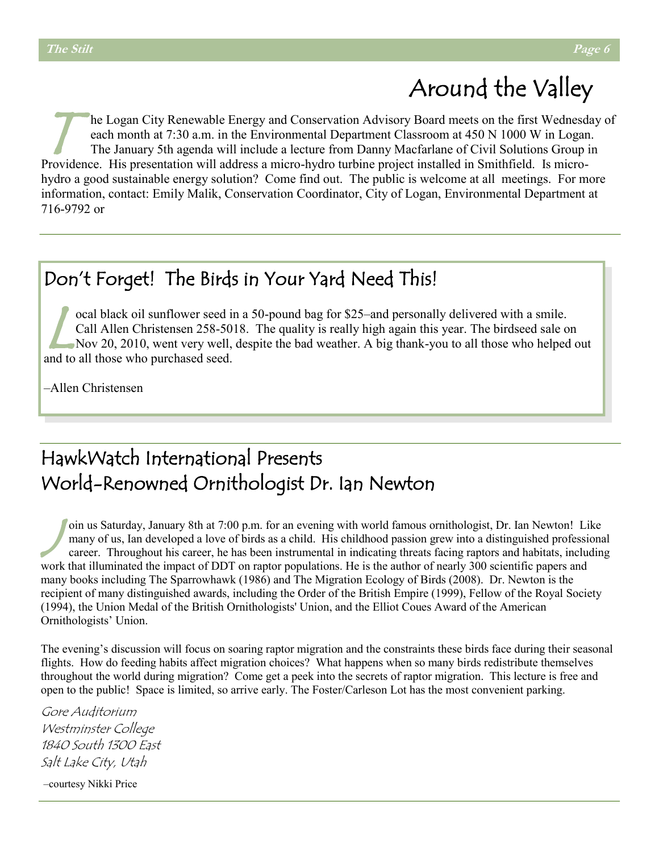# Around the Valley

T he Logan City Renewable Energy and Conservation Advisory Board meets on the first Wednesday of each month at 7:30 a.m. in the Environmental Department Classroom at 450 N 1000 W in Logan. The January 5th agenda will include a lecture from Danny Macfarlane of Civil Solutions Group in Providence. His presentation will address a micro-hydro turbine project installed in Smithfield. Is microhydro a good sustainable energy solution? Come find out. The public is welcome at all meetings. For more information, contact: Emily Malik, Conservation Coordinator, City of Logan, Environmental Department at 716-9792 or

#### Don't Forget! The Birds in Your Yard Need This!

ocal black oil sunflower seed in a 50-pound bag for \$25-and personally delivered with a smile.<br>Call Allen Christensen 258-5018. The quality is really high again this year. The birdseed sale on<br>Nov 20, 2010, went very well, ocal black oil sunflower seed in a 50-pound bag for \$25–and personally delivered with a smile. Call Allen Christensen 258-5018. The quality is really high again this year. The birdseed sale on and to all those who purchased seed.

‒Allen Christensen

#### HawkWatch International Presents World-Renowned Ornithologist Dr. Ian Newton

 $\int_{c}^{0}$ oin us Saturday, January 8th at 7:00 p.m. for an evening with world famous ornithologist, Dr. Ian Newton! Like many of us, Ian developed a love of birds as a child. His childhood passion grew into a distinguished professional career. Throughout his career, he has been instrumental in indicating threats facing raptors and habitats, including work that illuminated the impact of DDT on raptor populations. He is the author of nearly 300 scientific papers and many books including The Sparrowhawk (1986) and The Migration Ecology of Birds (2008). Dr. Newton is the recipient of many distinguished awards, including the Order of the British Empire (1999), Fellow of the Royal Society (1994), the Union Medal of the British Ornithologists' Union, and the Elliot Coues Award of the American Ornithologists' Union.

The evening's discussion will focus on soaring raptor migration and the constraints these birds face during their seasonal flights. How do feeding habits affect migration choices? What happens when so many birds redistribute themselves throughout the world during migration? Come get a peek into the secrets of raptor migration. This lecture is free and open to the public! Space is limited, so arrive early. The Foster/Carleson Lot has the most convenient parking.

Gore Auditorium Westminster College 1840 South 1300 East Salt Lake City, Utah

‒courtesy Nikki Price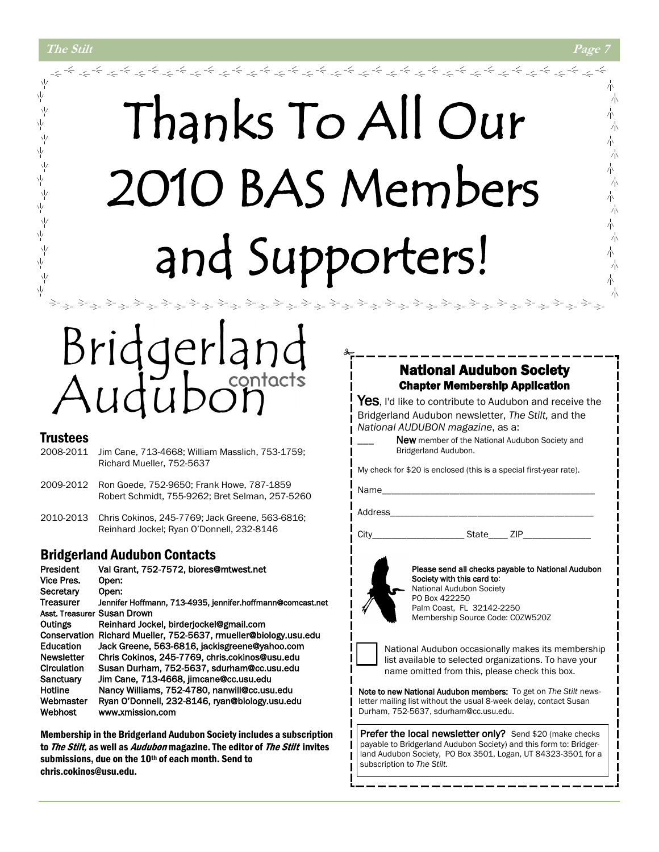ψ

 $\frac{1}{2}$ 

Υķ

人人不

ひょうかい かい

# Thanks To All Our 2010 BAS Members and Supporters!

# dgerland contacts

#### **Trustees**

- 2008-2011 Jim Cane, 713-4668; William Masslich, 753-1759; Richard Mueller, 752-5637
- 2009-2012 Ron Goede, 752-9650; Frank Howe, 787-1859 Robert Schmidt, 755-9262; Bret Selman, 257-5260
- 2010-2013 Chris Cokinos, 245-7769; Jack Greene, 563-6816; Reinhard Jockel; Ryan O'Donnell, 232-8146

#### Bridgerland Audubon Contacts

| President         | Val Grant, 752-7572, biores@mtwest.net                     |
|-------------------|------------------------------------------------------------|
| Vice Pres.        | Open:                                                      |
| Secretary         | Open:                                                      |
| <b>Treasurer</b>  | Jennifer Hoffmann, 713-4935, jennifer.hoffmann@comcast.net |
|                   | Asst. Treasurer Susan Drown                                |
| Outings           | Reinhard Jockel, birderjockel@gmail.com                    |
| Conservation      | Richard Mueller, 752-5637, rmueller@biology.usu.edu        |
| Education         | Jack Greene, 563-6816, jackisgreene@yahoo.com              |
| <b>Newsletter</b> | Chris Cokinos, 245-7769, chris.cokinos@usu.edu             |
| Circulation       | Susan Durham, 752-5637, sdurham@cc.usu.edu                 |
| Sanctuary         | Jim Cane, 713-4668, jimcane@cc.usu.edu                     |
| Hotline           | Nancy Williams, 752-4780, nanwill@cc.usu.edu               |
| Webmaster         | Ryan O'Donnell, 232-8146, ryan@biology.usu.edu             |
| Webhost           | www.xmission.com                                           |

Membership in the Bridgerland Audubon Society includes a subscription to *The Stilt*, as well as *Audubon* magazine. The editor of *The Stilt* invites submissions, due on the 10<sup>th</sup> of each month. Send to chris.cokinos@usu.edu.

#### National Audubon Society Chapter Membership Application

Yes, I'd like to contribute to Audubon and receive the Bridgerland Audubon newsletter, *The Stilt,* and the *National AUDUBON magazine*, as a:

> New member of the National Audubon Society and Bridgerland Audubon.

My check for \$20 is enclosed (this is a special first-year rate).

Name\_

لوالا فرائح لوالي والألا فرائح الوالي والألا فرائح الوالي والألا في والألواب

Address

City\_\_\_\_\_\_\_\_\_\_\_\_\_\_\_\_\_\_\_ State\_\_\_\_ ZIP\_\_\_\_\_\_\_\_\_\_\_\_\_\_



Please send all checks payable to National Audubon Society with this card to: National Audubon Society PO Box 422250 Palm Coast, FL 32142-2250 Membership Source Code: C0ZW520Z



National Audubon occasionally makes its membership list available to selected organizations. To have your name omitted from this, please check this box.

Note to new National Audubon members: To get on *The Stilt* newsletter mailing list without the usual 8-week delay, contact Susan Durham, 752-5637, sdurham@cc.usu.edu.

Prefer the local newsletter only? Send \$20 (make checks payable to Bridgerland Audubon Society) and this form to: Bridgerland Audubon Society, PO Box 3501, Logan, UT 84323-3501 for a subscription to *The Stilt.*

小

六

朩 六 小 木

小 六

六

六 朩 六